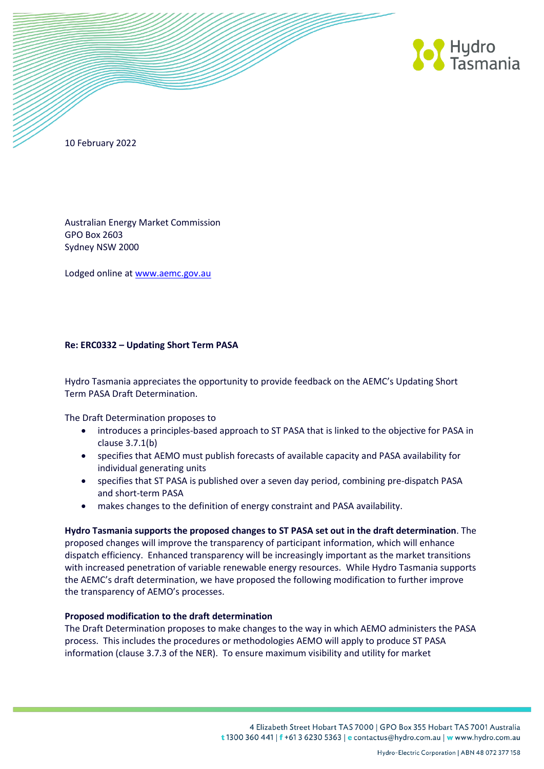

10 February 2022

Australian Energy Market Commission GPO Box 2603 Sydney NSW 2000

Lodged online at [www.aemc.gov.au](http://www.aemc.gov.au/)

## **Re: ERC0332 – Updating Short Term PASA**

Hydro Tasmania appreciates the opportunity to provide feedback on the AEMC's Updating Short Term PASA Draft Determination.

The Draft Determination proposes to

- introduces a principles-based approach to ST PASA that is linked to the objective for PASA in clause 3.7.1(b)
- specifies that AEMO must publish forecasts of available capacity and PASA availability for individual generating units
- specifies that ST PASA is published over a seven day period, combining pre-dispatch PASA and short-term PASA
- makes changes to the definition of energy constraint and PASA availability.

**Hydro Tasmania supports the proposed changes to ST PASA set out in the draft determination**. The proposed changes will improve the transparency of participant information, which will enhance dispatch efficiency. Enhanced transparency will be increasingly important as the market transitions with increased penetration of variable renewable energy resources. While Hydro Tasmania supports the AEMC's draft determination, we have proposed the following modification to further improve the transparency of AEMO's processes.

## **Proposed modification to the draft determination**

The Draft Determination proposes to make changes to the way in which AEMO administers the PASA process. This includes the procedures or methodologies AEMO will apply to produce ST PASA information (clause 3.7.3 of the NER). To ensure maximum visibility and utility for market

> 4 Elizabeth Street Hobart TAS 7000 | GPO Box 355 Hobart TAS 7001 Australia t 1300 360 441 | f +61 3 6230 5363 | e contactus@hydro.com.au | w www.hydro.com.au